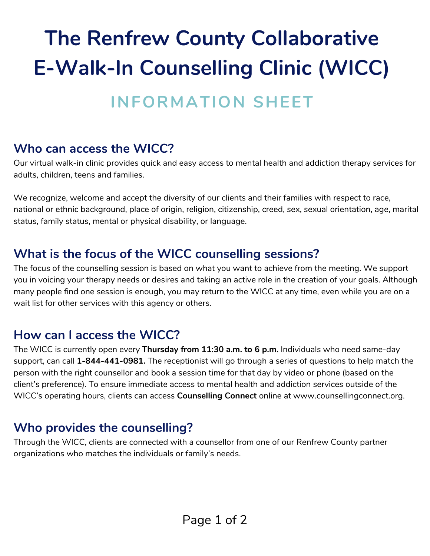# **The Renfrew County Collaborative E-Walk-In Counselling Clinic (WICC)**

### **INFORMATION SHEET**

#### **Who can access the WICC?**

Our virtual walk-in clinic provides quick and easy access to mental health and addiction therapy services for adults, children, teens and families.

We recognize, welcome and accept the diversity of our clients and their families with respect to race, national or ethnic background, place of origin, religion, citizenship, creed, sex, sexual orientation, age, marital status, family status, mental or physical disability, or language.

#### **What is the focus of the WICC counselling sessions?**

The focus of the counselling session is based on what you want to achieve from the meeting. We support you in voicing your therapy needs or desires and taking an active role in the creation of your goals. Although many people find one session is enough, you may return to the WICC at any time, even while you are on a wait list for other services with this agency or others.

#### **How can I access the WICC?**

The WICC is currently open every **Thursday from 11:30 a.m. to 6 p.m.** Individuals who need same-day support, can call **1-844-441-0981.** The receptionist will go through a series of questions to help match the person with the right counsellor and book a session time for that day by video or phone (based on the client's preference). To ensure immediate access to mental health and addiction services outside of the WICC's operating hours, clients can access **Counselling Connect** online at www.counsellingconnect.org.

#### **Who provides the counselling?**

Through the WICC, clients are connected with a counsellor from one of our Renfrew County partner organizations who matches the individuals or family's needs.